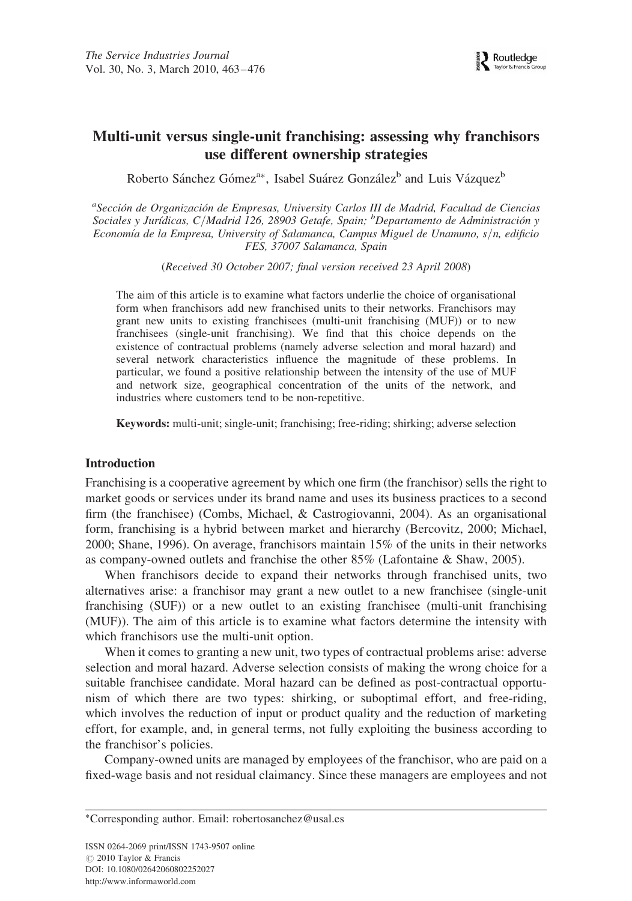# Multi-unit versus single-unit franchising: assessing why franchisors use different ownership strategies

Roberto Sánchez Gómez<sup>a\*</sup>, Isabel Suárez González<sup>b</sup> and Luis Vázquez<sup>b</sup>

<sup>a</sup>Sección de Organización de Empresas, University Carlos III de Madrid, Facultad de Ciencias Sociales y Jurídicas, C/Madrid 126, 28903 Getafe, Spain; <sup>b</sup>Departamento de Administración y Economía de la Empresa, University of Salamanca, Campus Miguel de Unamuno, s/n, edificio FES, 37007 Salamanca, Spain

(Received 30 October 2007; final version received 23 April 2008)

The aim of this article is to examine what factors underlie the choice of organisational form when franchisors add new franchised units to their networks. Franchisors may grant new units to existing franchisees (multi-unit franchising (MUF)) or to new franchisees (single-unit franchising). We find that this choice depends on the existence of contractual problems (namely adverse selection and moral hazard) and several network characteristics influence the magnitude of these problems. In particular, we found a positive relationship between the intensity of the use of MUF and network size, geographical concentration of the units of the network, and industries where customers tend to be non-repetitive.

Keywords: multi-unit; single-unit; franchising; free-riding; shirking; adverse selection

## Introduction

Franchising is a cooperative agreement by which one firm (the franchisor) sells the right to market goods or services under its brand name and uses its business practices to a second firm (the franchisee) (Combs, Michael, & Castrogiovanni, 2004). As an organisational form, franchising is a hybrid between market and hierarchy (Bercovitz, 2000; Michael, 2000; Shane, 1996). On average, franchisors maintain 15% of the units in their networks as company-owned outlets and franchise the other 85% (Lafontaine & Shaw, 2005).

When franchisors decide to expand their networks through franchised units, two alternatives arise: a franchisor may grant a new outlet to a new franchisee (single-unit franchising (SUF)) or a new outlet to an existing franchisee (multi-unit franchising (MUF)). The aim of this article is to examine what factors determine the intensity with which franchisors use the multi-unit option.

When it comes to granting a new unit, two types of contractual problems arise: adverse selection and moral hazard. Adverse selection consists of making the wrong choice for a suitable franchisee candidate. Moral hazard can be defined as post-contractual opportunism of which there are two types: shirking, or suboptimal effort, and free-riding, which involves the reduction of input or product quality and the reduction of marketing effort, for example, and, in general terms, not fully exploiting the business according to the franchisor's policies.

Company-owned units are managed by employees of the franchisor, who are paid on a fixed-wage basis and not residual claimancy. Since these managers are employees and not

Corresponding author. Email: robertosanchez@usal.es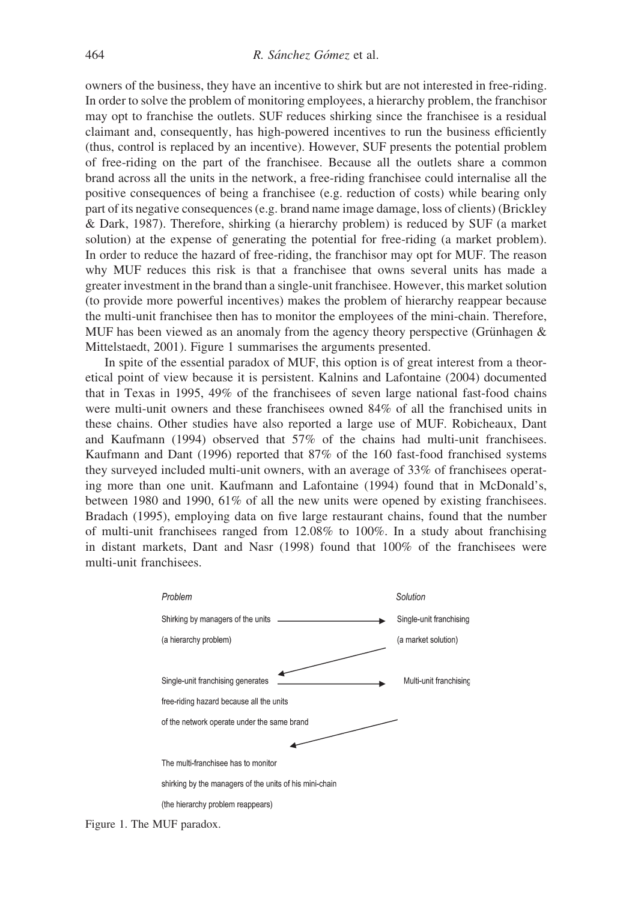owners of the business, they have an incentive to shirk but are not interested in free-riding. In order to solve the problem of monitoring employees, a hierarchy problem, the franchisor may opt to franchise the outlets. SUF reduces shirking since the franchisee is a residual claimant and, consequently, has high-powered incentives to run the business efficiently (thus, control is replaced by an incentive). However, SUF presents the potential problem of free-riding on the part of the franchisee. Because all the outlets share a common brand across all the units in the network, a free-riding franchisee could internalise all the positive consequences of being a franchisee (e.g. reduction of costs) while bearing only part of its negative consequences (e.g. brand name image damage, loss of clients) (Brickley & Dark, 1987). Therefore, shirking (a hierarchy problem) is reduced by SUF (a market solution) at the expense of generating the potential for free-riding (a market problem). In order to reduce the hazard of free-riding, the franchisor may opt for MUF. The reason why MUF reduces this risk is that a franchisee that owns several units has made a greater investment in the brand than a single-unit franchisee. However, this market solution (to provide more powerful incentives) makes the problem of hierarchy reappear because the multi-unit franchisee then has to monitor the employees of the mini-chain. Therefore, MUF has been viewed as an anomaly from the agency theory perspective (Grünhagen  $\&$ Mittelstaedt, 2001). Figure 1 summarises the arguments presented.

In spite of the essential paradox of MUF, this option is of great interest from a theoretical point of view because it is persistent. Kalnins and Lafontaine (2004) documented that in Texas in 1995, 49% of the franchisees of seven large national fast-food chains were multi-unit owners and these franchisees owned 84% of all the franchised units in these chains. Other studies have also reported a large use of MUF. Robicheaux, Dant and Kaufmann (1994) observed that 57% of the chains had multi-unit franchisees. Kaufmann and Dant (1996) reported that 87% of the 160 fast-food franchised systems they surveyed included multi-unit owners, with an average of 33% of franchisees operating more than one unit. Kaufmann and Lafontaine (1994) found that in McDonald's, between 1980 and 1990, 61% of all the new units were opened by existing franchisees. Bradach (1995), employing data on five large restaurant chains, found that the number of multi-unit franchisees ranged from 12.08% to 100%. In a study about franchising in distant markets, Dant and Nasr (1998) found that 100% of the franchisees were multi-unit franchisees.



Figure 1. The MUF paradox.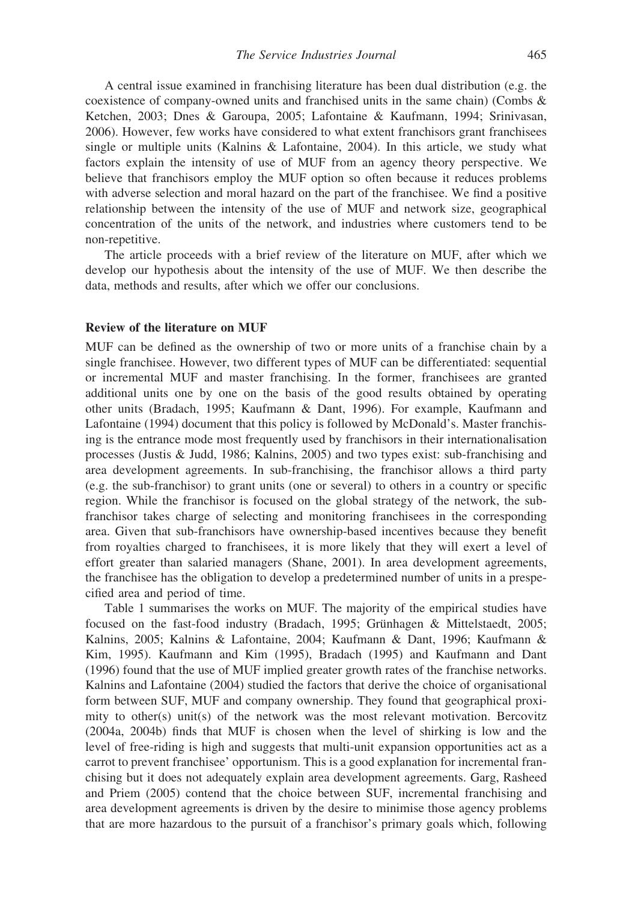A central issue examined in franchising literature has been dual distribution (e.g. the coexistence of company-owned units and franchised units in the same chain) (Combs & Ketchen, 2003; Dnes & Garoupa, 2005; Lafontaine & Kaufmann, 1994; Srinivasan, 2006). However, few works have considered to what extent franchisors grant franchisees single or multiple units (Kalnins & Lafontaine, 2004). In this article, we study what factors explain the intensity of use of MUF from an agency theory perspective. We believe that franchisors employ the MUF option so often because it reduces problems with adverse selection and moral hazard on the part of the franchisee. We find a positive relationship between the intensity of the use of MUF and network size, geographical concentration of the units of the network, and industries where customers tend to be non-repetitive.

The article proceeds with a brief review of the literature on MUF, after which we develop our hypothesis about the intensity of the use of MUF. We then describe the data, methods and results, after which we offer our conclusions.

#### Review of the literature on MUF

MUF can be defined as the ownership of two or more units of a franchise chain by a single franchisee. However, two different types of MUF can be differentiated: sequential or incremental MUF and master franchising. In the former, franchisees are granted additional units one by one on the basis of the good results obtained by operating other units (Bradach, 1995; Kaufmann & Dant, 1996). For example, Kaufmann and Lafontaine (1994) document that this policy is followed by McDonald's. Master franchising is the entrance mode most frequently used by franchisors in their internationalisation processes (Justis & Judd, 1986; Kalnins, 2005) and two types exist: sub-franchising and area development agreements. In sub-franchising, the franchisor allows a third party (e.g. the sub-franchisor) to grant units (one or several) to others in a country or specific region. While the franchisor is focused on the global strategy of the network, the subfranchisor takes charge of selecting and monitoring franchisees in the corresponding area. Given that sub-franchisors have ownership-based incentives because they benefit from royalties charged to franchisees, it is more likely that they will exert a level of effort greater than salaried managers (Shane, 2001). In area development agreements, the franchisee has the obligation to develop a predetermined number of units in a prespecified area and period of time.

Table 1 summarises the works on MUF. The majority of the empirical studies have focused on the fast-food industry (Bradach, 1995; Grünhagen & Mittelstaedt, 2005; Kalnins, 2005; Kalnins & Lafontaine, 2004; Kaufmann & Dant, 1996; Kaufmann & Kim, 1995). Kaufmann and Kim (1995), Bradach (1995) and Kaufmann and Dant (1996) found that the use of MUF implied greater growth rates of the franchise networks. Kalnins and Lafontaine (2004) studied the factors that derive the choice of organisational form between SUF, MUF and company ownership. They found that geographical proximity to other(s) unit(s) of the network was the most relevant motivation. Bercovitz (2004a, 2004b) finds that MUF is chosen when the level of shirking is low and the level of free-riding is high and suggests that multi-unit expansion opportunities act as a carrot to prevent franchisee' opportunism. This is a good explanation for incremental franchising but it does not adequately explain area development agreements. Garg, Rasheed and Priem (2005) contend that the choice between SUF, incremental franchising and area development agreements is driven by the desire to minimise those agency problems that are more hazardous to the pursuit of a franchisor's primary goals which, following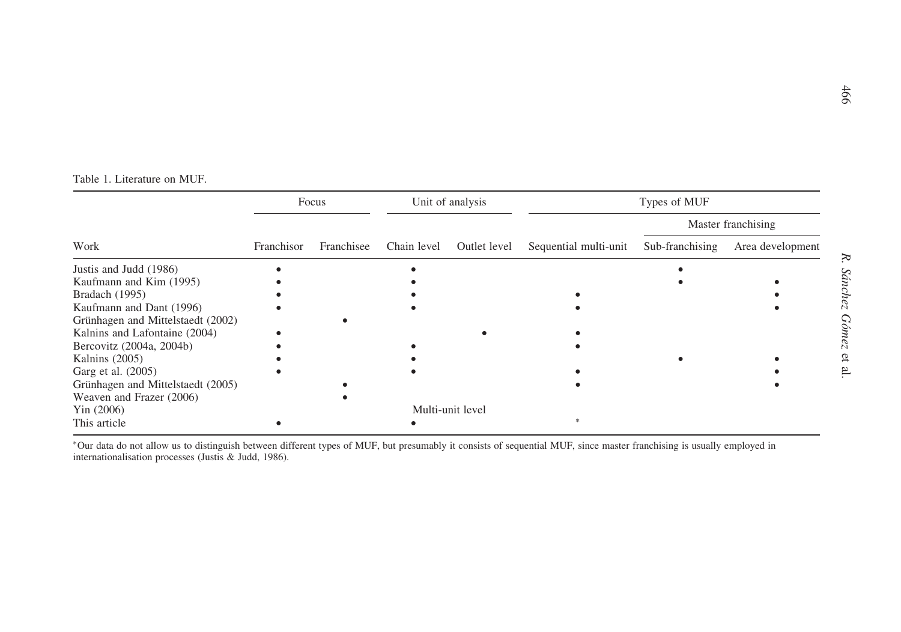|  | Table 1. Literature on MUF. |
|--|-----------------------------|
|--|-----------------------------|

|                                   | Focus      |            | Unit of analysis |                  | Types of MUF          |                 |                    |  |  |
|-----------------------------------|------------|------------|------------------|------------------|-----------------------|-----------------|--------------------|--|--|
|                                   |            |            |                  |                  |                       |                 | Master franchising |  |  |
| Work                              | Franchisor | Franchisee | Chain level      | Outlet level     | Sequential multi-unit | Sub-franchising | Area development   |  |  |
| Justis and Judd (1986)            |            |            |                  |                  |                       |                 |                    |  |  |
| Kaufmann and Kim (1995)           |            |            |                  |                  |                       |                 |                    |  |  |
| Bradach (1995)                    |            |            |                  |                  |                       |                 |                    |  |  |
| Kaufmann and Dant (1996)          |            |            |                  |                  |                       |                 |                    |  |  |
| Grünhagen and Mittelstaedt (2002) |            |            |                  |                  |                       |                 |                    |  |  |
| Kalnins and Lafontaine (2004)     |            |            |                  |                  |                       |                 |                    |  |  |
| Bercovitz (2004a, 2004b)          |            |            |                  |                  |                       |                 |                    |  |  |
| Kalnins (2005)                    |            |            |                  |                  |                       |                 |                    |  |  |
| Garg et al. (2005)                |            |            |                  |                  |                       |                 |                    |  |  |
| Grünhagen and Mittelstaedt (2005) |            |            |                  |                  |                       |                 |                    |  |  |
| Weaven and Frazer (2006)          |            |            |                  |                  |                       |                 |                    |  |  |
| Yin (2006)                        |            |            |                  | Multi-unit level |                       |                 |                    |  |  |
| This article                      |            |            |                  |                  |                       |                 |                    |  |  |

Our data do not allow us to distinguish between different types of MUF, but presumably it consists of sequential MUF, since master franchising is usually employed in internationalisation processes (Justis & Judd, 1986).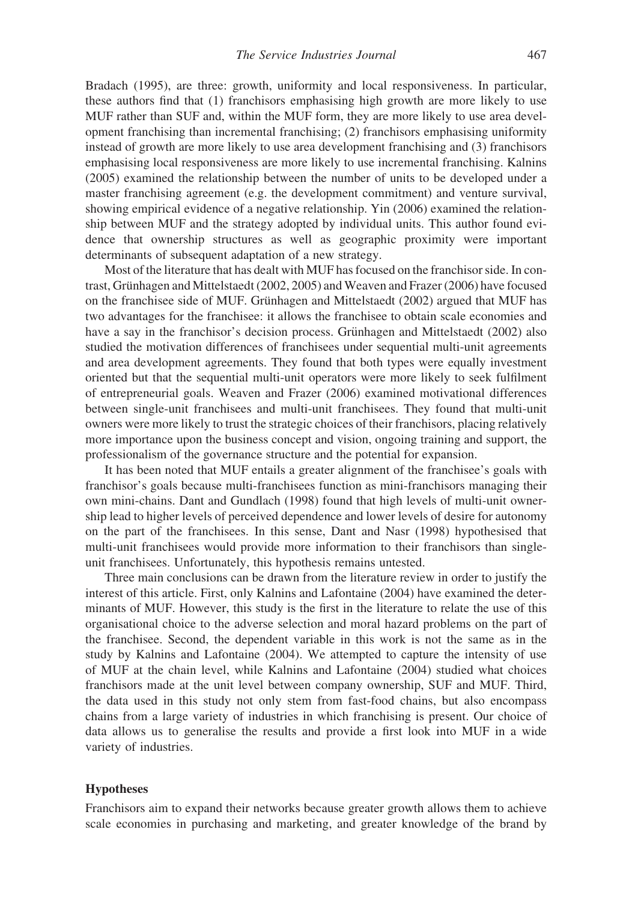Bradach (1995), are three: growth, uniformity and local responsiveness. In particular, these authors find that (1) franchisors emphasising high growth are more likely to use MUF rather than SUF and, within the MUF form, they are more likely to use area development franchising than incremental franchising; (2) franchisors emphasising uniformity instead of growth are more likely to use area development franchising and (3) franchisors emphasising local responsiveness are more likely to use incremental franchising. Kalnins (2005) examined the relationship between the number of units to be developed under a master franchising agreement (e.g. the development commitment) and venture survival, showing empirical evidence of a negative relationship. Yin (2006) examined the relationship between MUF and the strategy adopted by individual units. This author found evidence that ownership structures as well as geographic proximity were important determinants of subsequent adaptation of a new strategy.

Most of the literature that has dealt with MUF has focused on the franchisor side. In contrast, Grünhagen and Mittelstaedt (2002, 2005) and Weaven and Frazer (2006) have focused on the franchisee side of MUF. Grünhagen and Mittelstaedt  $(2002)$  argued that MUF has two advantages for the franchisee: it allows the franchisee to obtain scale economies and have a say in the franchisor's decision process. Grünhagen and Mittelstaedt (2002) also studied the motivation differences of franchisees under sequential multi-unit agreements and area development agreements. They found that both types were equally investment oriented but that the sequential multi-unit operators were more likely to seek fulfilment of entrepreneurial goals. Weaven and Frazer (2006) examined motivational differences between single-unit franchisees and multi-unit franchisees. They found that multi-unit owners were more likely to trust the strategic choices of their franchisors, placing relatively more importance upon the business concept and vision, ongoing training and support, the professionalism of the governance structure and the potential for expansion.

It has been noted that MUF entails a greater alignment of the franchisee's goals with franchisor's goals because multi-franchisees function as mini-franchisors managing their own mini-chains. Dant and Gundlach (1998) found that high levels of multi-unit ownership lead to higher levels of perceived dependence and lower levels of desire for autonomy on the part of the franchisees. In this sense, Dant and Nasr (1998) hypothesised that multi-unit franchisees would provide more information to their franchisors than singleunit franchisees. Unfortunately, this hypothesis remains untested.

Three main conclusions can be drawn from the literature review in order to justify the interest of this article. First, only Kalnins and Lafontaine (2004) have examined the determinants of MUF. However, this study is the first in the literature to relate the use of this organisational choice to the adverse selection and moral hazard problems on the part of the franchisee. Second, the dependent variable in this work is not the same as in the study by Kalnins and Lafontaine (2004). We attempted to capture the intensity of use of MUF at the chain level, while Kalnins and Lafontaine (2004) studied what choices franchisors made at the unit level between company ownership, SUF and MUF. Third, the data used in this study not only stem from fast-food chains, but also encompass chains from a large variety of industries in which franchising is present. Our choice of data allows us to generalise the results and provide a first look into MUF in a wide variety of industries.

#### **Hypotheses**

Franchisors aim to expand their networks because greater growth allows them to achieve scale economies in purchasing and marketing, and greater knowledge of the brand by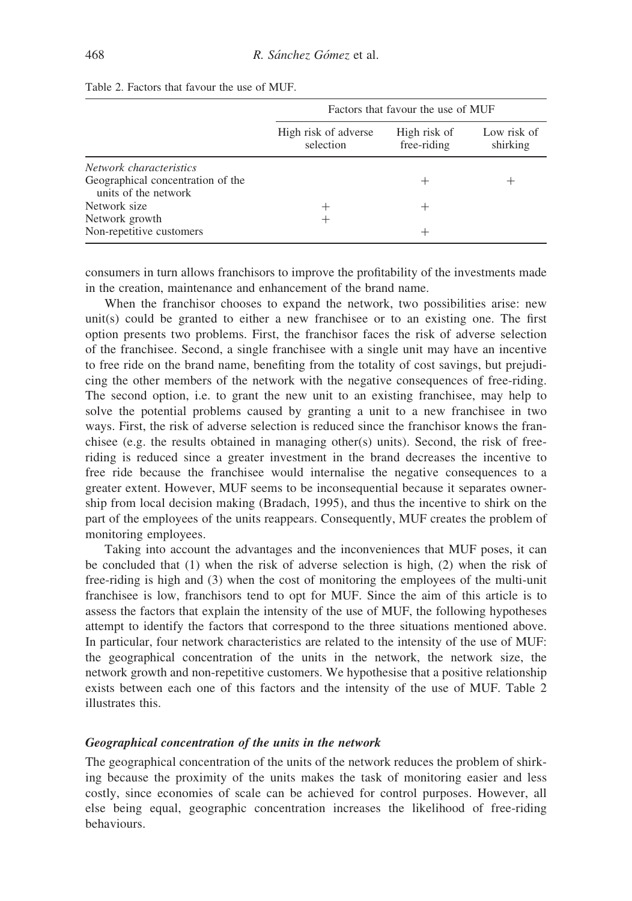|                                                           | Factors that favour the use of MUF |                             |                         |  |  |  |  |  |
|-----------------------------------------------------------|------------------------------------|-----------------------------|-------------------------|--|--|--|--|--|
|                                                           | High risk of adverse<br>selection  | High risk of<br>free-riding | Low risk of<br>shirking |  |  |  |  |  |
| Network characteristics                                   |                                    |                             |                         |  |  |  |  |  |
| Geographical concentration of the<br>units of the network |                                    |                             |                         |  |  |  |  |  |
| Network size                                              |                                    |                             |                         |  |  |  |  |  |
| Network growth                                            |                                    |                             |                         |  |  |  |  |  |
| Non-repetitive customers                                  |                                    |                             |                         |  |  |  |  |  |

| Table 2. Factors that favour the use of MUF. |  |  |  |  |  |  |  |
|----------------------------------------------|--|--|--|--|--|--|--|
|----------------------------------------------|--|--|--|--|--|--|--|

consumers in turn allows franchisors to improve the profitability of the investments made in the creation, maintenance and enhancement of the brand name.

When the franchisor chooses to expand the network, two possibilities arise: new unit(s) could be granted to either a new franchisee or to an existing one. The first option presents two problems. First, the franchisor faces the risk of adverse selection of the franchisee. Second, a single franchisee with a single unit may have an incentive to free ride on the brand name, benefiting from the totality of cost savings, but prejudicing the other members of the network with the negative consequences of free-riding. The second option, i.e. to grant the new unit to an existing franchisee, may help to solve the potential problems caused by granting a unit to a new franchisee in two ways. First, the risk of adverse selection is reduced since the franchisor knows the franchisee (e.g. the results obtained in managing other(s) units). Second, the risk of freeriding is reduced since a greater investment in the brand decreases the incentive to free ride because the franchisee would internalise the negative consequences to a greater extent. However, MUF seems to be inconsequential because it separates ownership from local decision making (Bradach, 1995), and thus the incentive to shirk on the part of the employees of the units reappears. Consequently, MUF creates the problem of monitoring employees.

Taking into account the advantages and the inconveniences that MUF poses, it can be concluded that (1) when the risk of adverse selection is high, (2) when the risk of free-riding is high and (3) when the cost of monitoring the employees of the multi-unit franchisee is low, franchisors tend to opt for MUF. Since the aim of this article is to assess the factors that explain the intensity of the use of MUF, the following hypotheses attempt to identify the factors that correspond to the three situations mentioned above. In particular, four network characteristics are related to the intensity of the use of MUF: the geographical concentration of the units in the network, the network size, the network growth and non-repetitive customers. We hypothesise that a positive relationship exists between each one of this factors and the intensity of the use of MUF. Table 2 illustrates this.

## Geographical concentration of the units in the network

The geographical concentration of the units of the network reduces the problem of shirking because the proximity of the units makes the task of monitoring easier and less costly, since economies of scale can be achieved for control purposes. However, all else being equal, geographic concentration increases the likelihood of free-riding behaviours.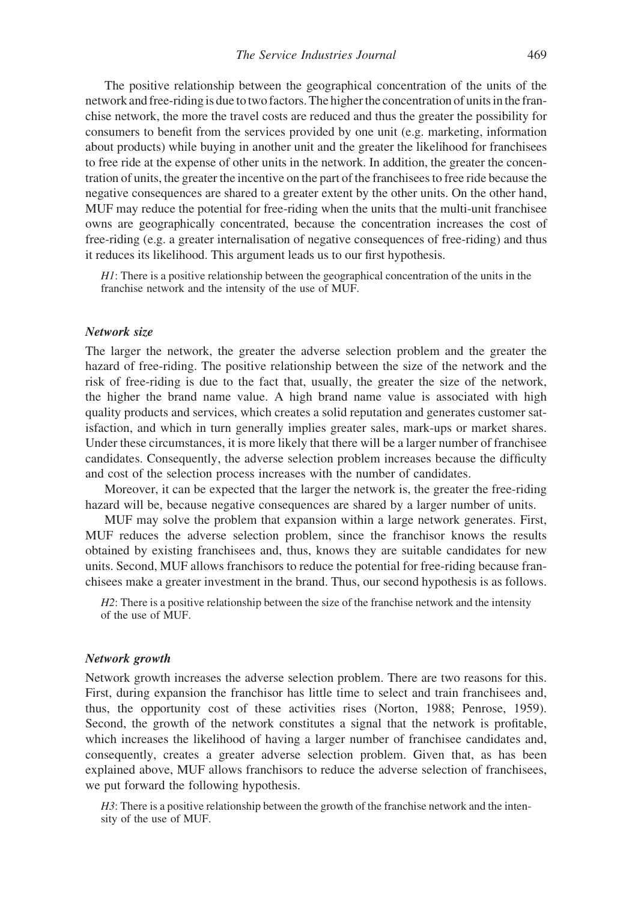The positive relationship between the geographical concentration of the units of the network and free-riding is due to two factors. The higher the concentration of units in the franchise network, the more the travel costs are reduced and thus the greater the possibility for consumers to benefit from the services provided by one unit (e.g. marketing, information about products) while buying in another unit and the greater the likelihood for franchisees to free ride at the expense of other units in the network. In addition, the greater the concentration of units, the greater the incentive on the part of the franchisees to free ride because the negative consequences are shared to a greater extent by the other units. On the other hand, MUF may reduce the potential for free-riding when the units that the multi-unit franchisee owns are geographically concentrated, because the concentration increases the cost of free-riding (e.g. a greater internalisation of negative consequences of free-riding) and thus it reduces its likelihood. This argument leads us to our first hypothesis.

 $H1$ : There is a positive relationship between the geographical concentration of the units in the franchise network and the intensity of the use of MUF.

#### Network size

The larger the network, the greater the adverse selection problem and the greater the hazard of free-riding. The positive relationship between the size of the network and the risk of free-riding is due to the fact that, usually, the greater the size of the network, the higher the brand name value. A high brand name value is associated with high quality products and services, which creates a solid reputation and generates customer satisfaction, and which in turn generally implies greater sales, mark-ups or market shares. Under these circumstances, it is more likely that there will be a larger number of franchisee candidates. Consequently, the adverse selection problem increases because the difficulty and cost of the selection process increases with the number of candidates.

Moreover, it can be expected that the larger the network is, the greater the free-riding hazard will be, because negative consequences are shared by a larger number of units.

MUF may solve the problem that expansion within a large network generates. First, MUF reduces the adverse selection problem, since the franchisor knows the results obtained by existing franchisees and, thus, knows they are suitable candidates for new units. Second, MUF allows franchisors to reduce the potential for free-riding because franchisees make a greater investment in the brand. Thus, our second hypothesis is as follows.

H2: There is a positive relationship between the size of the franchise network and the intensity of the use of MUF.

#### Network growth

Network growth increases the adverse selection problem. There are two reasons for this. First, during expansion the franchisor has little time to select and train franchisees and, thus, the opportunity cost of these activities rises (Norton, 1988; Penrose, 1959). Second, the growth of the network constitutes a signal that the network is profitable, which increases the likelihood of having a larger number of franchisee candidates and, consequently, creates a greater adverse selection problem. Given that, as has been explained above, MUF allows franchisors to reduce the adverse selection of franchisees, we put forward the following hypothesis.

 $H_3$ : There is a positive relationship between the growth of the franchise network and the intensity of the use of MUF.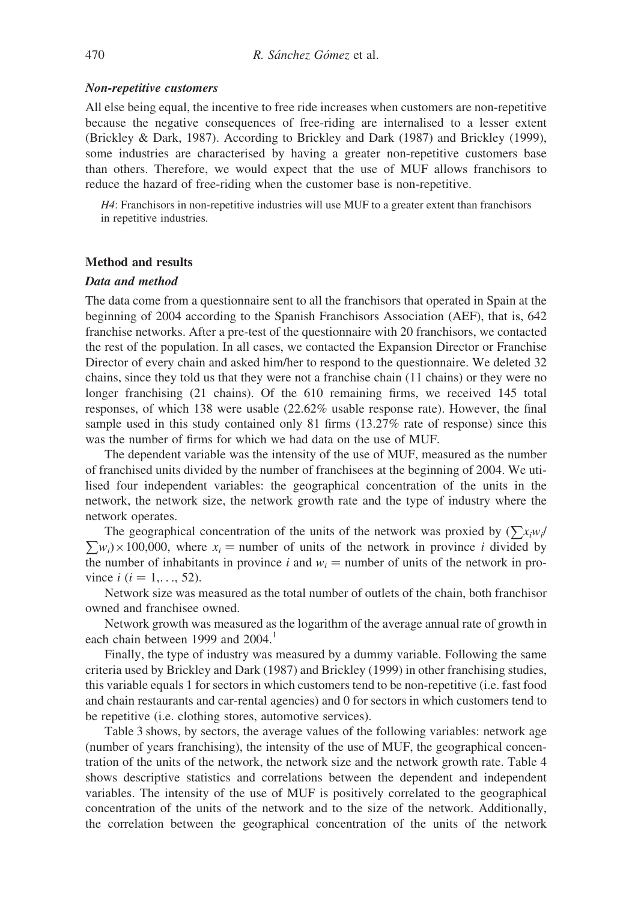## Non-repetitive customers

All else being equal, the incentive to free ride increases when customers are non-repetitive because the negative consequences of free-riding are internalised to a lesser extent (Brickley & Dark, 1987). According to Brickley and Dark (1987) and Brickley (1999), some industries are characterised by having a greater non-repetitive customers base than others. Therefore, we would expect that the use of MUF allows franchisors to reduce the hazard of free-riding when the customer base is non-repetitive.

 $H<sup>4</sup>$ : Franchisors in non-repetitive industries will use MUF to a greater extent than franchisors in repetitive industries.

### Method and results

#### Data and method

The data come from a questionnaire sent to all the franchisors that operated in Spain at the beginning of 2004 according to the Spanish Franchisors Association (AEF), that is, 642 franchise networks. After a pre-test of the questionnaire with 20 franchisors, we contacted the rest of the population. In all cases, we contacted the Expansion Director or Franchise Director of every chain and asked him/her to respond to the questionnaire. We deleted 32 chains, since they told us that they were not a franchise chain (11 chains) or they were no longer franchising (21 chains). Of the 610 remaining firms, we received 145 total responses, of which 138 were usable (22.62% usable response rate). However, the final sample used in this study contained only 81 firms (13.27% rate of response) since this was the number of firms for which we had data on the use of MUF.

The dependent variable was the intensity of the use of MUF, measured as the number of franchised units divided by the number of franchisees at the beginning of 2004. We utilised four independent variables: the geographical concentration of the units in the network, the network size, the network growth rate and the type of industry where the network operates.

The geographical concentration of the units of the network was proxied by  $(\sum x_i w_i / \sum w_i) \times 100,000$ , where  $x =$  number of units of the network in province i divided by  $w_i$ ) × 100,000, where  $x_i$  = number of units of the network in province *i* divided by the number of inhabitants in province i and  $w_i$  = number of units of the network in province  $i$  ( $i = 1, ..., 52$ ).

Network size was measured as the total number of outlets of the chain, both franchisor owned and franchisee owned.

Network growth was measured as the logarithm of the average annual rate of growth in each chain between 1999 and 2004.<sup>1</sup>

Finally, the type of industry was measured by a dummy variable. Following the same criteria used by Brickley and Dark (1987) and Brickley (1999) in other franchising studies, this variable equals 1 for sectors in which customers tend to be non-repetitive (i.e. fast food and chain restaurants and car-rental agencies) and 0 for sectors in which customers tend to be repetitive (i.e. clothing stores, automotive services).

Table 3 shows, by sectors, the average values of the following variables: network age (number of years franchising), the intensity of the use of MUF, the geographical concentration of the units of the network, the network size and the network growth rate. Table 4 shows descriptive statistics and correlations between the dependent and independent variables. The intensity of the use of MUF is positively correlated to the geographical concentration of the units of the network and to the size of the network. Additionally, the correlation between the geographical concentration of the units of the network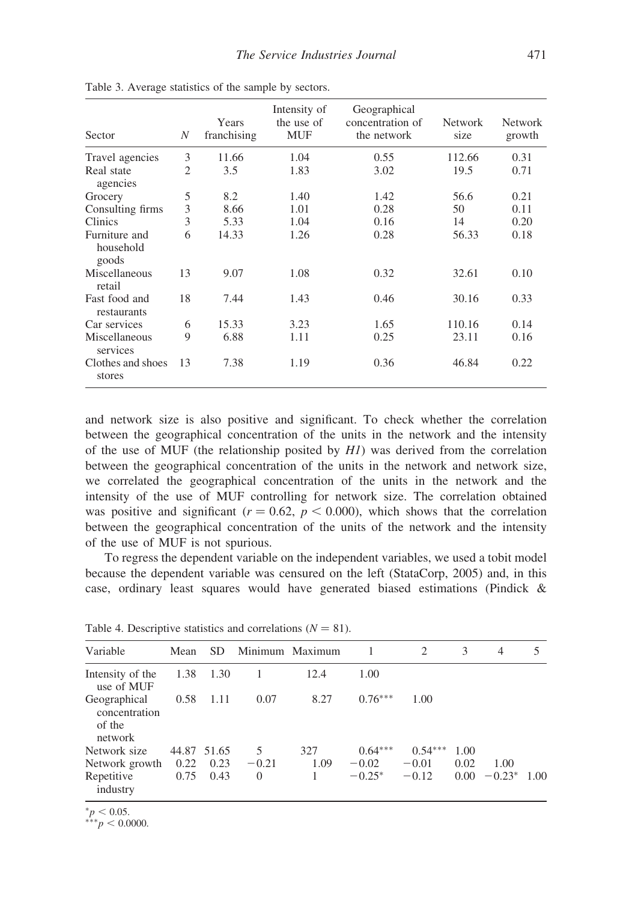| Sector                              | N  | Years<br>franchising | Intensity of<br>the use of<br><b>MUF</b> | Geographical<br>concentration of<br>the network | <b>Network</b><br>size | <b>Network</b><br>growth |
|-------------------------------------|----|----------------------|------------------------------------------|-------------------------------------------------|------------------------|--------------------------|
| Travel agencies                     | 3  | 11.66                | 1.04                                     | 0.55                                            | 112.66                 | 0.31                     |
| Real state<br>agencies              | 2  | 3.5                  | 1.83                                     | 3.02                                            | 19.5                   | 0.71                     |
| Grocery                             | 5  | 8.2                  | 1.40                                     | 1.42                                            | 56.6                   | 0.21                     |
| Consulting firms                    | 3  | 8.66                 | 1.01                                     | 0.28                                            | 50                     | 0.11                     |
| <b>Clinics</b>                      | 3  | 5.33                 | 1.04                                     | 0.16                                            | 14                     | 0.20                     |
| Furniture and<br>household<br>goods | 6  | 14.33                | 1.26                                     | 0.28                                            | 56.33                  | 0.18                     |
| Miscellaneous<br>retail             | 13 | 9.07                 | 1.08                                     | 0.32                                            | 32.61                  | 0.10                     |
| Fast food and<br>restaurants        | 18 | 7.44                 | 1.43                                     | 0.46                                            | 30.16                  | 0.33                     |
| Car services                        | 6  | 15.33                | 3.23                                     | 1.65                                            | 110.16                 | 0.14                     |
| Miscellaneous<br>services           | 9  | 6.88                 | 1.11                                     | 0.25                                            | 23.11                  | 0.16                     |
| Clothes and shoes<br>stores         | 13 | 7.38                 | 1.19                                     | 0.36                                            | 46.84                  | 0.22                     |

Table 3. Average statistics of the sample by sectors.

and network size is also positive and significant. To check whether the correlation between the geographical concentration of the units in the network and the intensity of the use of MUF (the relationship posited by  $HI$ ) was derived from the correlation between the geographical concentration of the units in the network and network size, we correlated the geographical concentration of the units in the network and the intensity of the use of MUF controlling for network size. The correlation obtained was positive and significant ( $r = 0.62$ ,  $p < 0.000$ ), which shows that the correlation between the geographical concentration of the units of the network and the intensity of the use of MUF is not spurious.

To regress the dependent variable on the independent variables, we used a tobit model because the dependent variable was censured on the left (StataCorp, 2005) and, in this case, ordinary least squares would have generated biased estimations (Pindick &

| Variable                                           | Mean | SD.         |          | Minimum Maximum |           | $\mathfrak{D}_{\mathfrak{p}}$ | 3        | $\overline{4}$ | 5    |
|----------------------------------------------------|------|-------------|----------|-----------------|-----------|-------------------------------|----------|----------------|------|
| Intensity of the<br>use of MUF                     | 1.38 | 1.30        |          | 12.4            | 1.00      |                               |          |                |      |
| Geographical<br>concentration<br>of the<br>network | 0.58 | 1.11        | 0.07     | 8.27            | $0.76***$ | 1.00                          |          |                |      |
| Network size                                       |      | 44.87 51.65 | 5        | 327             | $0.64***$ | $0.54***$                     | 1.00     |                |      |
| Network growth                                     | 0.22 | 0.23        | $-0.21$  | 1.09            | $-0.02$   | $-0.01$                       | 0.02     | 1.00           |      |
| Repetitive<br>industry                             | 0.75 | 0.43        | $\Omega$ |                 | $-0.25*$  | $-0.12$                       | $0.00\,$ | $-0.23*$       | 1.00 |

Table 4. Descriptive statistics and correlations ( $N = 81$ ).

 $*_{p} < 0.05.$ <br> $*_{p} < 0.0000.$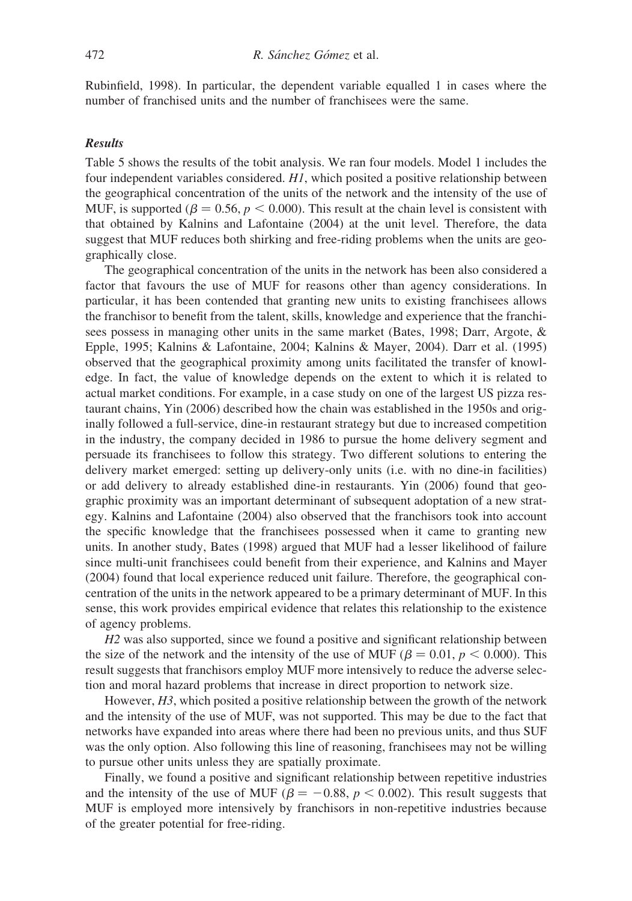Rubinfield, 1998). In particular, the dependent variable equalled 1 in cases where the number of franchised units and the number of franchisees were the same.

## Results

Table 5 shows the results of the tobit analysis. We ran four models. Model 1 includes the four independent variables considered. H1, which posited a positive relationship between the geographical concentration of the units of the network and the intensity of the use of MUF, is supported ( $\beta = 0.56$ ,  $p < 0.000$ ). This result at the chain level is consistent with that obtained by Kalnins and Lafontaine (2004) at the unit level. Therefore, the data suggest that MUF reduces both shirking and free-riding problems when the units are geographically close.

The geographical concentration of the units in the network has been also considered a factor that favours the use of MUF for reasons other than agency considerations. In particular, it has been contended that granting new units to existing franchisees allows the franchisor to benefit from the talent, skills, knowledge and experience that the franchisees possess in managing other units in the same market (Bates, 1998; Darr, Argote, & Epple, 1995; Kalnins & Lafontaine, 2004; Kalnins & Mayer, 2004). Darr et al. (1995) observed that the geographical proximity among units facilitated the transfer of knowledge. In fact, the value of knowledge depends on the extent to which it is related to actual market conditions. For example, in a case study on one of the largest US pizza restaurant chains, Yin (2006) described how the chain was established in the 1950s and originally followed a full-service, dine-in restaurant strategy but due to increased competition in the industry, the company decided in 1986 to pursue the home delivery segment and persuade its franchisees to follow this strategy. Two different solutions to entering the delivery market emerged: setting up delivery-only units (i.e. with no dine-in facilities) or add delivery to already established dine-in restaurants. Yin (2006) found that geographic proximity was an important determinant of subsequent adoptation of a new strategy. Kalnins and Lafontaine (2004) also observed that the franchisors took into account the specific knowledge that the franchisees possessed when it came to granting new units. In another study, Bates (1998) argued that MUF had a lesser likelihood of failure since multi-unit franchisees could benefit from their experience, and Kalnins and Mayer (2004) found that local experience reduced unit failure. Therefore, the geographical concentration of the units in the network appeared to be a primary determinant of MUF. In this sense, this work provides empirical evidence that relates this relationship to the existence of agency problems.

H2 was also supported, since we found a positive and significant relationship between the size of the network and the intensity of the use of MUF ( $\beta = 0.01$ ,  $p < 0.000$ ). This result suggests that franchisors employ MUF more intensively to reduce the adverse selection and moral hazard problems that increase in direct proportion to network size.

However, H3, which posited a positive relationship between the growth of the network and the intensity of the use of MUF, was not supported. This may be due to the fact that networks have expanded into areas where there had been no previous units, and thus SUF was the only option. Also following this line of reasoning, franchisees may not be willing to pursue other units unless they are spatially proximate.

Finally, we found a positive and significant relationship between repetitive industries and the intensity of the use of MUF ( $\beta = -0.88$ ,  $p < 0.002$ ). This result suggests that MUF is employed more intensively by franchisors in non-repetitive industries because of the greater potential for free-riding.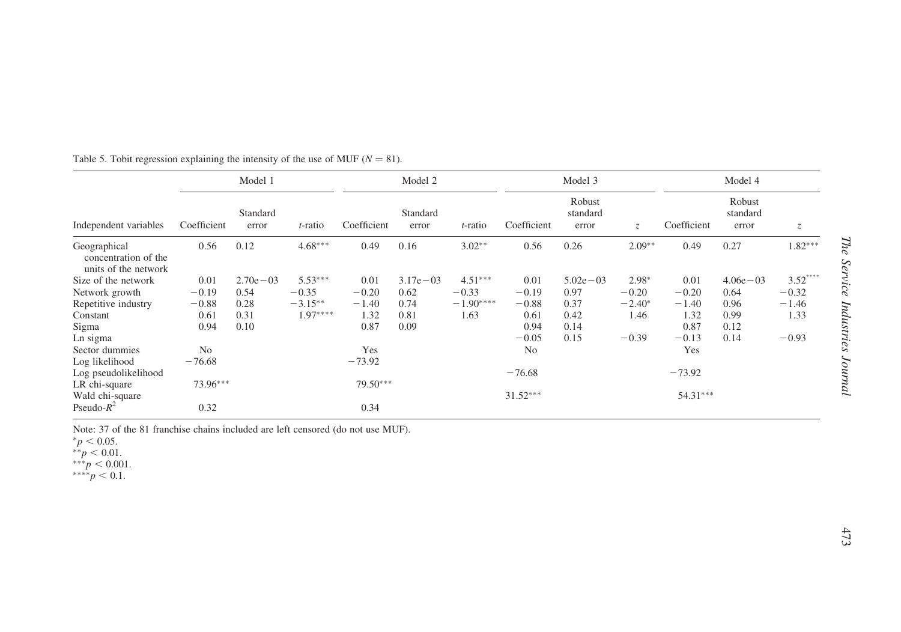|                                                              |                | Model 1           |                 |             | Model 2           |                 |                | Model 3                     |               |             | Model 4                     |               |  |
|--------------------------------------------------------------|----------------|-------------------|-----------------|-------------|-------------------|-----------------|----------------|-----------------------------|---------------|-------------|-----------------------------|---------------|--|
| Independent variables                                        | Coefficient    | Standard<br>error | <i>t</i> -ratio | Coefficient | Standard<br>error | <i>t</i> -ratio | Coefficient    | Robust<br>standard<br>error | $\mathcal{Z}$ | Coefficient | Robust<br>standard<br>error | $\mathcal{Z}$ |  |
| Geographical<br>concentration of the<br>units of the network | 0.56           | 0.12              | $4.68***$       | 0.49        | 0.16              | $3.02**$        | 0.56           | 0.26                        | $2.09**$      | 0.49        | 0.27                        | $1.82***$     |  |
| Size of the network                                          | 0.01           | $2.70e - 03$      | $5.53***$       | 0.01        | $3.17e - 03$      | $4.51***$       | 0.01           | $5.02e - 03$                | $2.98*$       | 0.01        | $4.06e - 03$                | $3.52***$     |  |
| Network growth                                               | $-0.19$        | 0.54              | $-0.35$         | $-0.20$     | 0.62              | $-0.33$         | $-0.19$        | 0.97                        | $-0.20$       | $-0.20$     | 0.64                        | $-0.32$       |  |
| Repetitive industry                                          | $-0.88$        | 0.28              | $-3.15**$       | $-1.40$     | 0.74              | $-1.90***$      | $-0.88$        | 0.37                        | $-2.40*$      | $-1.40$     | 0.96                        | $-1.46$       |  |
| Constant                                                     | 0.61           | 0.31              | $1.97***$       | 1.32        | 0.81              | 1.63            | 0.61           | 0.42                        | 1.46          | 1.32        | 0.99                        | 1.33          |  |
| Sigma                                                        | 0.94           | 0.10              |                 | 0.87        | 0.09              |                 | 0.94           | 0.14                        |               | 0.87        | 0.12                        |               |  |
| Ln sigma                                                     |                |                   |                 |             |                   |                 | $-0.05$        | 0.15                        | $-0.39$       | $-0.13$     | 0.14                        | $-0.93$       |  |
| Sector dummies                                               | N <sub>o</sub> |                   |                 | Yes         |                   |                 | N <sub>0</sub> |                             |               | Yes         |                             |               |  |
| Log likelihood                                               | $-76.68$       |                   |                 | $-73.92$    |                   |                 |                |                             |               |             |                             |               |  |
| Log pseudolikelihood                                         |                |                   |                 |             |                   |                 | $-76.68$       |                             |               | $-73.92$    |                             |               |  |
| LR chi-square                                                | 73.96***       |                   |                 | $79.50***$  |                   |                 |                |                             |               |             |                             |               |  |
| Wald chi-square                                              |                |                   |                 |             |                   |                 | $31.52***$     |                             |               | 54.31***    |                             |               |  |
| Pseudo- $R^2$                                                | 0.32           |                   |                 | 0.34        |                   |                 |                |                             |               |             |                             |               |  |

Table 5. Tobit regression explaining the intensity of the use of MUF ( $N = 81$ ).

Note: 37 of the 81 franchise chains included are left censored (do not use MUF).

 $*_{p} < 0.05$ .

 $^{\ast\ast}p < 0.01$ .

 $***p < 0.001$ .

 $***p < 0.1.$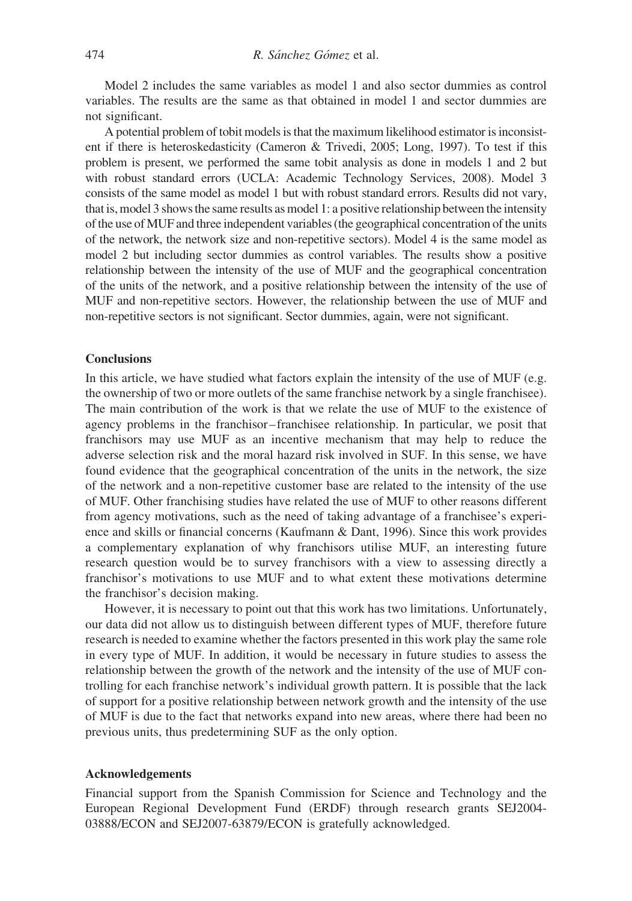Model 2 includes the same variables as model 1 and also sector dummies as control variables. The results are the same as that obtained in model 1 and sector dummies are not significant.

A potential problem of tobit models is that the maximum likelihood estimator is inconsistent if there is heteroskedasticity (Cameron & Trivedi, 2005; Long, 1997). To test if this problem is present, we performed the same tobit analysis as done in models 1 and 2 but with robust standard errors (UCLA: Academic Technology Services, 2008). Model 3 consists of the same model as model 1 but with robust standard errors. Results did not vary, that is, model 3 shows the same results as model 1: a positive relationship between the intensity of the use of MUF and three independent variables (the geographical concentration of the units of the network, the network size and non-repetitive sectors). Model 4 is the same model as model 2 but including sector dummies as control variables. The results show a positive relationship between the intensity of the use of MUF and the geographical concentration of the units of the network, and a positive relationship between the intensity of the use of MUF and non-repetitive sectors. However, the relationship between the use of MUF and non-repetitive sectors is not significant. Sector dummies, again, were not significant.

#### **Conclusions**

In this article, we have studied what factors explain the intensity of the use of MUF (e.g. the ownership of two or more outlets of the same franchise network by a single franchisee). The main contribution of the work is that we relate the use of MUF to the existence of agency problems in the franchisor–franchisee relationship. In particular, we posit that franchisors may use MUF as an incentive mechanism that may help to reduce the adverse selection risk and the moral hazard risk involved in SUF. In this sense, we have found evidence that the geographical concentration of the units in the network, the size of the network and a non-repetitive customer base are related to the intensity of the use of MUF. Other franchising studies have related the use of MUF to other reasons different from agency motivations, such as the need of taking advantage of a franchisee's experience and skills or financial concerns (Kaufmann & Dant, 1996). Since this work provides a complementary explanation of why franchisors utilise MUF, an interesting future research question would be to survey franchisors with a view to assessing directly a franchisor's motivations to use MUF and to what extent these motivations determine the franchisor's decision making.

However, it is necessary to point out that this work has two limitations. Unfortunately, our data did not allow us to distinguish between different types of MUF, therefore future research is needed to examine whether the factors presented in this work play the same role in every type of MUF. In addition, it would be necessary in future studies to assess the relationship between the growth of the network and the intensity of the use of MUF controlling for each franchise network's individual growth pattern. It is possible that the lack of support for a positive relationship between network growth and the intensity of the use of MUF is due to the fact that networks expand into new areas, where there had been no previous units, thus predetermining SUF as the only option.

#### Acknowledgements

Financial support from the Spanish Commission for Science and Technology and the European Regional Development Fund (ERDF) through research grants SEJ2004- 03888/ECON and SEJ2007-63879/ECON is gratefully acknowledged.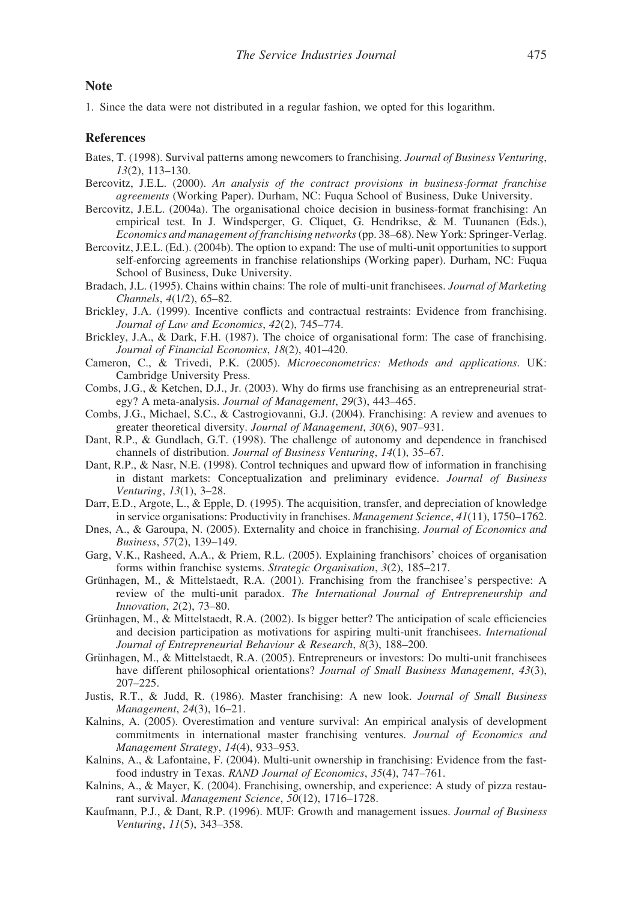## Note

1. Since the data were not distributed in a regular fashion, we opted for this logarithm.

#### References

- Bates, T. (1998). Survival patterns among newcomers to franchising. Journal of Business Venturing, 13(2), 113–130.
- Bercovitz, J.E.L. (2000). An analysis of the contract provisions in business-format franchise agreements (Working Paper). Durham, NC: Fuqua School of Business, Duke University.
- Bercovitz, J.E.L. (2004a). The organisational choice decision in business-format franchising: An empirical test. In J. Windsperger, G. Cliquet, G. Hendrikse, & M. Tuunanen (Eds.), Economics and management of franchising networks(pp. 38–68). New York: Springer-Verlag.
- Bercovitz, J.E.L. (Ed.). (2004b). The option to expand: The use of multi-unit opportunities to support self-enforcing agreements in franchise relationships (Working paper). Durham, NC: Fuqua School of Business, Duke University.
- Bradach, J.L. (1995). Chains within chains: The role of multi-unit franchisees. Journal of Marketing Channels, 4(1/2), 65–82.
- Brickley, J.A. (1999). Incentive conflicts and contractual restraints: Evidence from franchising. Journal of Law and Economics, 42(2), 745–774.
- Brickley, J.A., & Dark, F.H. (1987). The choice of organisational form: The case of franchising. Journal of Financial Economics, 18(2), 401–420.
- Cameron, C., & Trivedi, P.K. (2005). Microeconometrics: Methods and applications. UK: Cambridge University Press.
- Combs, J.G., & Ketchen, D.J., Jr. (2003). Why do firms use franchising as an entrepreneurial strategy? A meta-analysis. Journal of Management, 29(3), 443–465.
- Combs, J.G., Michael, S.C., & Castrogiovanni, G.J. (2004). Franchising: A review and avenues to greater theoretical diversity. Journal of Management, 30(6), 907–931.
- Dant, R.P., & Gundlach, G.T. (1998). The challenge of autonomy and dependence in franchised channels of distribution. Journal of Business Venturing, 14(1), 35–67.
- Dant, R.P., & Nasr, N.E. (1998). Control techniques and upward flow of information in franchising in distant markets: Conceptualization and preliminary evidence. Journal of Business Venturing, 13(1), 3–28.
- Darr, E.D., Argote, L., & Epple, D. (1995). The acquisition, transfer, and depreciation of knowledge in service organisations: Productivity in franchises. *Management Science*, 41(11), 1750–1762.
- Dnes, A., & Garoupa, N. (2005). Externality and choice in franchising. Journal of Economics and Business, 57(2), 139–149.
- Garg, V.K., Rasheed, A.A., & Priem, R.L. (2005). Explaining franchisors' choices of organisation forms within franchise systems. Strategic Organisation, 3(2), 185–217.
- Grünhagen, M., & Mittelstaedt, R.A. (2001). Franchising from the franchisee's perspective: A review of the multi-unit paradox. The International Journal of Entrepreneurship and Innovation, 2(2), 73–80.
- Grünhagen, M., & Mittelstaedt, R.A. (2002). Is bigger better? The anticipation of scale efficiencies and decision participation as motivations for aspiring multi-unit franchisees. International Journal of Entrepreneurial Behaviour & Research, 8(3), 188–200.
- Grünhagen, M., & Mittelstaedt, R.A. (2005). Entrepreneurs or investors: Do multi-unit franchisees have different philosophical orientations? Journal of Small Business Management, 43(3), 207–225.
- Justis, R.T., & Judd, R. (1986). Master franchising: A new look. Journal of Small Business Management, 24(3), 16–21.
- Kalnins, A. (2005). Overestimation and venture survival: An empirical analysis of development commitments in international master franchising ventures. Journal of Economics and Management Strategy, 14(4), 933–953.
- Kalnins, A., & Lafontaine, F. (2004). Multi-unit ownership in franchising: Evidence from the fastfood industry in Texas. RAND Journal of Economics, 35(4), 747–761.
- Kalnins, A., & Mayer, K. (2004). Franchising, ownership, and experience: A study of pizza restaurant survival. Management Science, 50(12), 1716–1728.
- Kaufmann, P.J., & Dant, R.P. (1996). MUF: Growth and management issues. Journal of Business Venturing, 11(5), 343–358.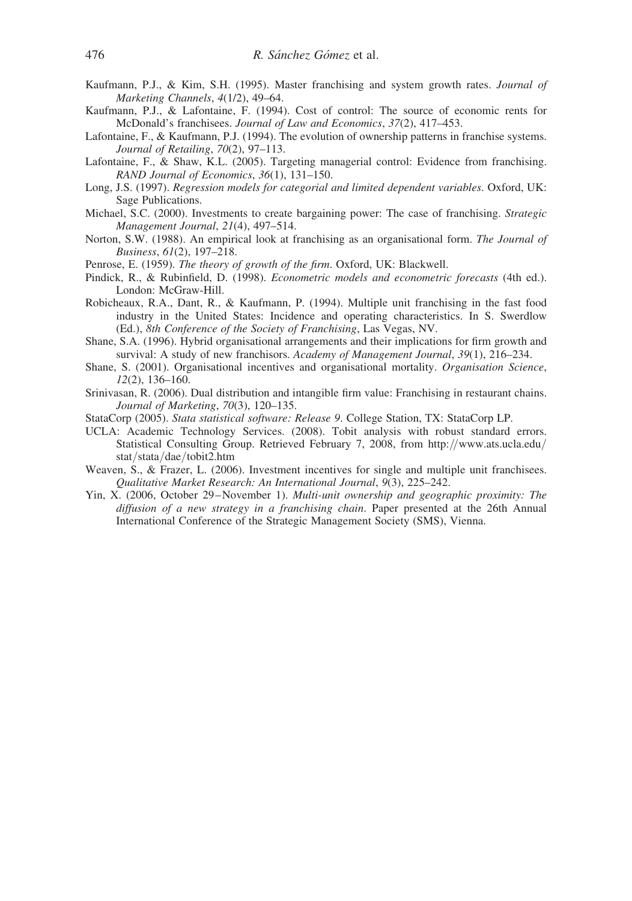- Kaufmann, P.J., & Kim, S.H. (1995). Master franchising and system growth rates. Journal of Marketing Channels, 4(1/2), 49–64.
- Kaufmann, P.J., & Lafontaine, F. (1994). Cost of control: The source of economic rents for McDonald's franchisees. Journal of Law and Economics, 37(2), 417–453.
- Lafontaine, F., & Kaufmann, P.J. (1994). The evolution of ownership patterns in franchise systems. Journal of Retailing, 70(2), 97–113.
- Lafontaine, F., & Shaw, K.L. (2005). Targeting managerial control: Evidence from franchising. RAND Journal of Economics, 36(1), 131-150.
- Long, J.S. (1997). Regression models for categorial and limited dependent variables. Oxford, UK: Sage Publications.
- Michael, S.C. (2000). Investments to create bargaining power: The case of franchising. Strategic Management Journal, 21(4), 497–514.
- Norton, S.W. (1988). An empirical look at franchising as an organisational form. The Journal of Business, 61(2), 197–218.
- Penrose, E. (1959). The theory of growth of the firm. Oxford, UK: Blackwell.
- Pindick, R., & Rubinfield, D. (1998). Econometric models and econometric forecasts (4th ed.). London: McGraw-Hill.
- Robicheaux, R.A., Dant, R., & Kaufmann, P. (1994). Multiple unit franchising in the fast food industry in the United States: Incidence and operating characteristics. In S. Swerdlow (Ed.), 8th Conference of the Society of Franchising, Las Vegas, NV.
- Shane, S.A. (1996). Hybrid organisational arrangements and their implications for firm growth and survival: A study of new franchisors. Academy of Management Journal, 39(1), 216–234.
- Shane, S. (2001). Organisational incentives and organisational mortality. Organisation Science, 12(2), 136–160.
- Srinivasan, R. (2006). Dual distribution and intangible firm value: Franchising in restaurant chains. Journal of Marketing, 70(3), 120–135.
- StataCorp (2005). Stata statistical software: Release 9. College Station, TX: StataCorp LP.
- UCLA: Academic Technology Services. (2008). Tobit analysis with robust standard errors. Statistical Consulting Group. Retrieved February 7, 2008, from [http:](http://www.ats.ucla.edu/stat/stata/dae/tobit2.htm)//[www.ats.ucla.edu](http://www.ats.ucla.edu/stat/stata/dae/tobit2.htm)/ stat/stata/dae/[tobit2.htm](http://www.ats.ucla.edu/stat/stata/dae/tobit2.htm)
- Weaven, S., & Frazer, L. (2006). Investment incentives for single and multiple unit franchisees. Qualitative Market Research: An International Journal, 9(3), 225–242.
- Yin, X. (2006, October 29–November 1). Multi-unit ownership and geographic proximity: The diffusion of a new strategy in a franchising chain. Paper presented at the 26th Annual International Conference of the Strategic Management Society (SMS), Vienna.